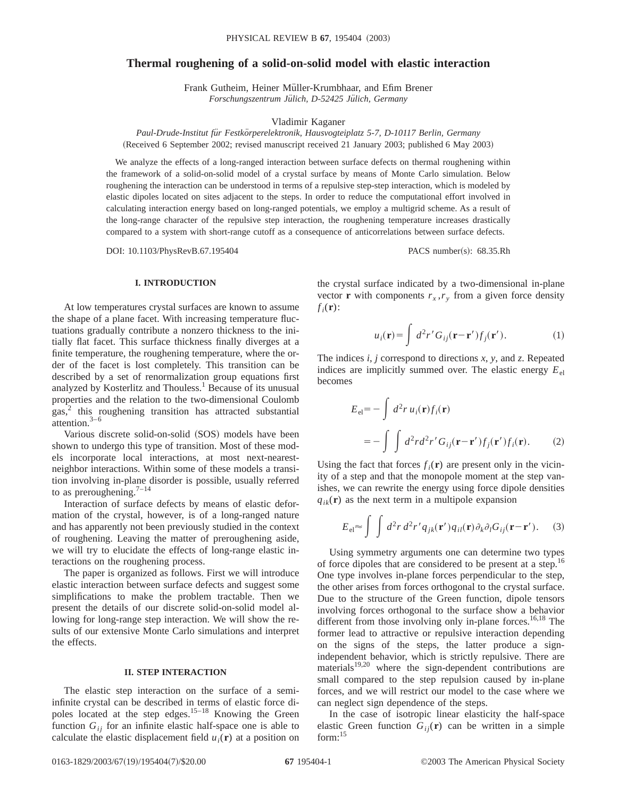# **Thermal roughening of a solid-on-solid model with elastic interaction**

Frank Gutheim, Heiner Müller-Krumbhaar, and Efim Brener Forschungszentrum Jülich, D-52425 Jülich, Germany

Vladimir Kaganer

*Paul-Drude-Institut fu¨r Festko¨rperelektronik, Hausvogteiplatz 5-7, D-10117 Berlin, Germany* (Received 6 September 2002; revised manuscript received 21 January 2003; published 6 May 2003)

We analyze the effects of a long-ranged interaction between surface defects on thermal roughening within the framework of a solid-on-solid model of a crystal surface by means of Monte Carlo simulation. Below roughening the interaction can be understood in terms of a repulsive step-step interaction, which is modeled by elastic dipoles located on sites adjacent to the steps. In order to reduce the computational effort involved in calculating interaction energy based on long-ranged potentials, we employ a multigrid scheme. As a result of the long-range character of the repulsive step interaction, the roughening temperature increases drastically compared to a system with short-range cutoff as a consequence of anticorrelations between surface defects.

DOI: 10.1103/PhysRevB.67.195404 PACS number(s): 68.35.Rh

## **I. INTRODUCTION**

At low temperatures crystal surfaces are known to assume the shape of a plane facet. With increasing temperature fluctuations gradually contribute a nonzero thickness to the initially flat facet. This surface thickness finally diverges at a finite temperature, the roughening temperature, where the order of the facet is lost completely. This transition can be described by a set of renormalization group equations first analyzed by Kosterlitz and Thouless.<sup>1</sup> Because of its unusual properties and the relation to the two-dimensional Coulomb  $gas<sup>2</sup>$  this roughening transition has attracted substantial attention.3–6

Various discrete solid-on-solid (SOS) models have been shown to undergo this type of transition. Most of these models incorporate local interactions, at most next-nearestneighbor interactions. Within some of these models a transition involving in-plane disorder is possible, usually referred to as preroughening.<sup>7-14</sup>

Interaction of surface defects by means of elastic deformation of the crystal, however, is of a long-ranged nature and has apparently not been previously studied in the context of roughening. Leaving the matter of preroughening aside, we will try to elucidate the effects of long-range elastic interactions on the roughening process.

The paper is organized as follows. First we will introduce elastic interaction between surface defects and suggest some simplifications to make the problem tractable. Then we present the details of our discrete solid-on-solid model allowing for long-range step interaction. We will show the results of our extensive Monte Carlo simulations and interpret the effects.

### **II. STEP INTERACTION**

The elastic step interaction on the surface of a semiinfinite crystal can be described in terms of elastic force dipoles located at the step edges. $15-18$  Knowing the Green function  $G_{ii}$  for an infinite elastic half-space one is able to calculate the elastic displacement field  $u_i(\mathbf{r})$  at a position on the crystal surface indicated by a two-dimensional in-plane vector **r** with components  $r_x, r_y$  from a given force density  $f_i(\mathbf{r})$ :

$$
u_i(\mathbf{r}) = \int d^2 r' G_{ij}(\mathbf{r} - \mathbf{r}') f_j(\mathbf{r}'). \tag{1}
$$

The indices *i*, *j* correspond to directions *x*, *y*, and *z*. Repeated indices are implicitly summed over. The elastic energy  $E_{el}$ becomes

$$
E_{el} = -\int d^2 r u_i(\mathbf{r}) f_i(\mathbf{r})
$$
  
= 
$$
- \int \int d^2 r d^2 r' G_{ij}(\mathbf{r} - \mathbf{r}') f_j(\mathbf{r}') f_i(\mathbf{r}).
$$
 (2)

Using the fact that forces  $f_i(\mathbf{r})$  are present only in the vicinity of a step and that the monopole moment at the step vanishes, we can rewrite the energy using force dipole densities  $q_{ik}(\mathbf{r})$  as the next term in a multipole expansion

$$
E_{\rm el} \approx \int \int d^2r \, d^2r' \, q_{jk}(\mathbf{r}') q_{il}(\mathbf{r}) \partial_k \partial_l G_{ij}(\mathbf{r} - \mathbf{r}'). \tag{3}
$$

Using symmetry arguments one can determine two types of force dipoles that are considered to be present at a step.<sup>16</sup> One type involves in-plane forces perpendicular to the step, the other arises from forces orthogonal to the crystal surface. Due to the structure of the Green function, dipole tensors involving forces orthogonal to the surface show a behavior different from those involving only in-plane forces.<sup>16,18</sup> The former lead to attractive or repulsive interaction depending on the signs of the steps, the latter produce a signindependent behavior, which is strictly repulsive. There are materials $19,20$  where the sign-dependent contributions are small compared to the step repulsion caused by in-plane forces, and we will restrict our model to the case where we can neglect sign dependence of the steps.

In the case of isotropic linear elasticity the half-space elastic Green function  $G_{ii}(\mathbf{r})$  can be written in a simple  $form: <sup>15</sup>$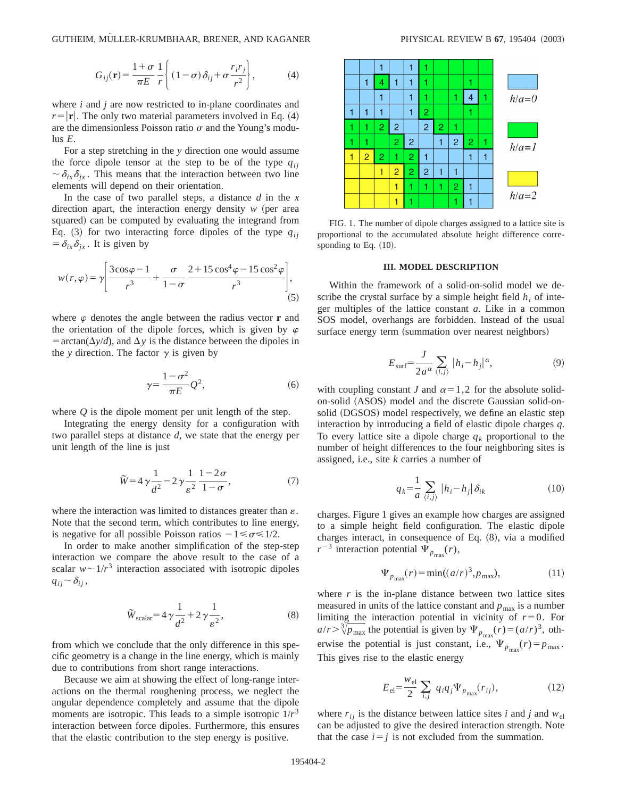$$
G_{ij}(\mathbf{r}) = \frac{1+\sigma}{\pi E} \frac{1}{r} \left\{ (1-\sigma) \delta_{ij} + \sigma \frac{r_i r_j}{r^2} \right\},\tag{4}
$$

where *i* and *j* are now restricted to in-plane coordinates and  $r=|\mathbf{r}|$ . The only two material parameters involved in Eq. (4) are the dimensionless Poisson ratio  $\sigma$  and the Young's modulus *E*.

For a step stretching in the *y* direction one would assume the force dipole tensor at the step to be of the type  $q_{ii}$  $\sim \delta_{ix}\delta_{ix}$ . This means that the interaction between two line elements will depend on their orientation.

In the case of two parallel steps, a distance *d* in the *x* direction apart, the interaction energy density  $w$  (per area squared) can be computed by evaluating the integrand from Eq.  $(3)$  for two interacting force dipoles of the type  $q_{ij}$  $= \delta_{ix}\delta_{ix}$ . It is given by

$$
w(r,\varphi) = \gamma \left[ \frac{3\cos\varphi - 1}{r^3} + \frac{\sigma}{1 - \sigma} \frac{2 + 15\cos^4\varphi - 15\cos^2\varphi}{r^3} \right],
$$
(5)

where  $\varphi$  denotes the angle between the radius vector **r** and the orientation of the dipole forces, which is given by  $\varphi$  $=$  arctan( $\Delta y/d$ ), and  $\Delta y$  is the distance between the dipoles in the *y* direction. The factor  $\gamma$  is given by

$$
\gamma = \frac{1 - \sigma^2}{\pi E} Q^2,\tag{6}
$$

where *Q* is the dipole moment per unit length of the step.

Integrating the energy density for a configuration with two parallel steps at distance *d*, we state that the energy per unit length of the line is just

$$
\widetilde{W} = 4\gamma \frac{1}{d^2} - 2\gamma \frac{1}{\varepsilon^2} \frac{1 - 2\sigma}{1 - \sigma},\tag{7}
$$

where the interaction was limited to distances greater than  $\varepsilon$ . Note that the second term, which contributes to line energy, is negative for all possible Poisson ratios  $-1 \le \sigma \le 1/2$ .

In order to make another simplification of the step-step interaction we compare the above result to the case of a scalar  $w \sim 1/r^3$  interaction associated with isotropic dipoles  $q_{ij} \sim \delta_{ij}$ ,

$$
\widetilde{W}_{\text{scalar}} = 4\gamma \frac{1}{d^2} + 2\gamma \frac{1}{\varepsilon^2},\tag{8}
$$

from which we conclude that the only difference in this specific geometry is a change in the line energy, which is mainly due to contributions from short range interactions.

Because we aim at showing the effect of long-range interactions on the thermal roughening process, we neglect the angular dependence completely and assume that the dipole moments are isotropic. This leads to a simple isotropic  $1/r<sup>3</sup>$ interaction between force dipoles. Furthermore, this ensures that the elastic contribution to the step energy is positive.



FIG. 1. The number of dipole charges assigned to a lattice site is proportional to the accumulated absolute height difference corresponding to Eq.  $(10)$ .

### **III. MODEL DESCRIPTION**

Within the framework of a solid-on-solid model we describe the crystal surface by a simple height field  $h_i$  of integer multiples of the lattice constant *a*. Like in a common SOS model, overhangs are forbidden. Instead of the usual surface energy term (summation over nearest neighbors)

$$
E_{\text{surf}} = \frac{J}{2a^{\alpha}} \sum_{\langle i,j \rangle} |h_i - h_j|^{\alpha}, \tag{9}
$$

with coupling constant *J* and  $\alpha=1,2$  for the absolute solidon-solid (ASOS) model and the discrete Gaussian solid-onsolid (DGSOS) model respectively, we define an elastic step interaction by introducing a field of elastic dipole charges *q*. To every lattice site a dipole charge  $q_k$  proportional to the number of height differences to the four neighboring sites is assigned, i.e., site *k* carries a number of

$$
q_k = \frac{1}{a} \sum_{\langle i,j \rangle} |h_i - h_j| \delta_{ik} \tag{10}
$$

charges. Figure 1 gives an example how charges are assigned to a simple height field configuration. The elastic dipole charges interact, in consequence of Eq.  $(8)$ , via a modified  $r^{-3}$  interaction potential  $\Psi_{p_{\text{max}}}(r)$ ,

$$
\Psi_{p_{\text{max}}}(r) = \min((a/r)^3, p_{\text{max}}),\tag{11}
$$

where  $r$  is the in-plane distance between two lattice sites measured in units of the lattice constant and  $p_{\text{max}}$  is a number limiting the interaction potential in vicinity of  $r=0$ . For  $a/r > \sqrt[3]{p_{\text{max}}}$  the potential is given by  $\Psi_{p_{\text{max}}}(r) = (a/r)^3$ , otherwise the potential is just constant, i.e.,  $\Psi_{p_{\text{max}}}(r) = p_{\text{max}}$ . This gives rise to the elastic energy

$$
E_{\rm el} = \frac{w_{\rm el}}{2} \sum_{i,j} q_i q_j \Psi_{p_{\rm max}}(r_{ij}), \qquad (12)
$$

where  $r_{ij}$  is the distance between lattice sites *i* and *j* and  $w_{el}$ can be adjusted to give the desired interaction strength. Note that the case  $i=j$  is not excluded from the summation.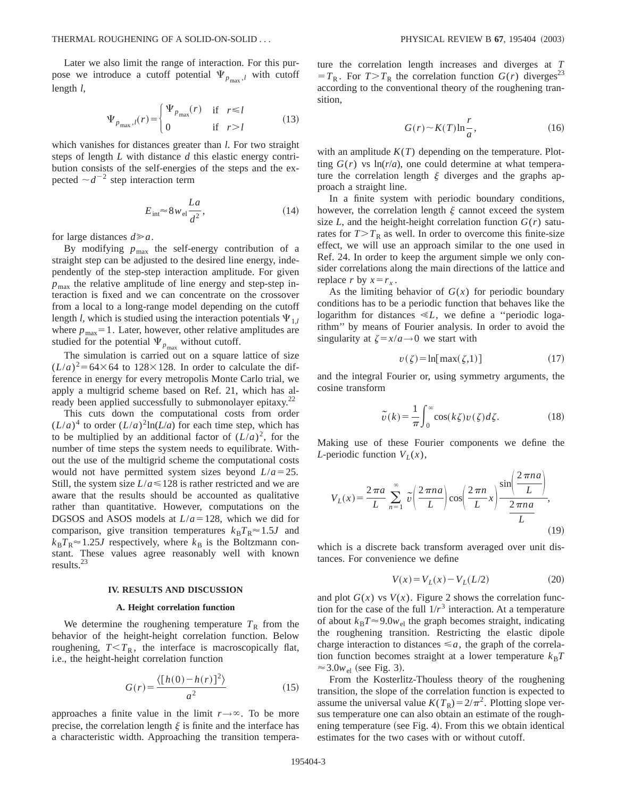Later we also limit the range of interaction. For this purpose we introduce a cutoff potential  $\Psi_{p_{\text{max}},l}$  with cutoff length *l*,

$$
\Psi_{p_{\text{max}},l}(r) = \begin{cases} \Psi_{p_{\text{max}}}(r) & \text{if } r \le l \\ 0 & \text{if } r > l \end{cases}
$$
(13)

which vanishes for distances greater than *l*. For two straight steps of length *L* with distance *d* this elastic energy contribution consists of the self-energies of the steps and the expected  $\sim d^{-2}$  step interaction term

$$
E_{\text{int}} \approx 8w_{\text{el}} \frac{La}{d^2},\tag{14}
$$

for large distances  $d \ge a$ .

By modifying  $p_{\text{max}}$  the self-energy contribution of a straight step can be adjusted to the desired line energy, independently of the step-step interaction amplitude. For given  $p_{\text{max}}$  the relative amplitude of line energy and step-step interaction is fixed and we can concentrate on the crossover from a local to a long-range model depending on the cutoff length *l*, which is studied using the interaction potentials  $\Psi_{1,l}$ where  $p_{\text{max}}=1$ . Later, however, other relative amplitudes are studied for the potential  $\Psi_{p_{\text{max}}}$  without cutoff.

The simulation is carried out on a square lattice of size  $(L/a)^2$ =64×64 to 128×128. In order to calculate the difference in energy for every metropolis Monte Carlo trial, we apply a multigrid scheme based on Ref. 21, which has already been applied successfully to submonolayer epitaxy. $2^2$ 

This cuts down the computational costs from order  $(L/a)^4$  to order  $(L/a)^2 \ln(L/a)$  for each time step, which has to be multiplied by an additional factor of  $(L/a)^2$ , for the number of time steps the system needs to equilibrate. Without the use of the multigrid scheme the computational costs would not have permitted system sizes beyond  $L/a = 25$ . Still, the system size  $L/a \le 128$  is rather restricted and we are aware that the results should be accounted as qualitative rather than quantitative. However, computations on the DGSOS and ASOS models at  $L/a = 128$ , which we did for comparison, give transition temperatures  $k_B T_R \approx 1.5 J$  and  $k_B T_R \approx 1.25J$  respectively, where  $k_B$  is the Boltzmann constant. These values agree reasonably well with known results.23

#### **IV. RESULTS AND DISCUSSION**

#### **A. Height correlation function**

We determine the roughening temperature  $T<sub>R</sub>$  from the behavior of the height-height correlation function. Below roughening,  $T < T_R$ , the interface is macroscopically flat, i.e., the height-height correlation function

$$
G(r) = \frac{\langle [h(0) - h(r)]^2 \rangle}{a^2}
$$
 (15)

approaches a finite value in the limit  $r \rightarrow \infty$ . To be more precise, the correlation length  $\xi$  is finite and the interface has a characteristic width. Approaching the transition temperature the correlation length increases and diverges at *T*  $T = T_R$ . For  $T > T_R$  the correlation function  $G(r)$  diverges<sup>23</sup> according to the conventional theory of the roughening transition,

$$
G(r) \sim K(T) \ln \frac{r}{a},\tag{16}
$$

with an amplitude  $K(T)$  depending on the temperature. Plotting  $G(r)$  vs  $\ln(r/a)$ , one could determine at what temperature the correlation length  $\xi$  diverges and the graphs approach a straight line.

In a finite system with periodic boundary conditions, however, the correlation length  $\xi$  cannot exceed the system size  $L$ , and the height-height correlation function  $G(r)$  saturates for  $T>T_R$  as well. In order to overcome this finite-size effect, we will use an approach similar to the one used in Ref. 24. In order to keep the argument simple we only consider correlations along the main directions of the lattice and replace *r* by  $x = r_x$ .

As the limiting behavior of  $G(x)$  for periodic boundary conditions has to be a periodic function that behaves like the logarithm for distances  $\ll L$ , we define a "periodic logarithm'' by means of Fourier analysis. In order to avoid the singularity at  $\zeta = x/a \rightarrow 0$  we start with

$$
v(\zeta) = \ln[\max(\zeta, 1)]\tag{17}
$$

and the integral Fourier or, using symmetry arguments, the cosine transform

$$
\tilde{v}(k) = \frac{1}{\pi} \int_0^\infty \cos(k\zeta) v(\zeta) d\zeta.
$$
 (18)

Making use of these Fourier components we define the *L*-periodic function  $V_L(x)$ ,

$$
V_L(x) = \frac{2\pi a}{L} \sum_{n=1}^{\infty} \tilde{v} \left(\frac{2\pi n a}{L}\right) \cos\left(\frac{2\pi n}{L}x\right) \frac{\sin\left(\frac{2\pi n a}{L}\right)}{\frac{2\pi n a}{L}},\tag{19}
$$

which is a discrete back transform averaged over unit distances. For convenience we define

$$
V(x) = V_L(x) - V_L(L/2)
$$
 (20)

and plot  $G(x)$  vs  $V(x)$ . Figure 2 shows the correlation function for the case of the full  $1/r^3$  interaction. At a temperature of about  $k_B T \approx 9.0 w_{el}$  the graph becomes straight, indicating the roughening transition. Restricting the elastic dipole charge interaction to distances  $\leq a$ , the graph of the correlation function becomes straight at a lower temperature  $k_B T$  $\approx$  3.0 $w_{\text{el}}$  (see Fig. 3).

From the Kosterlitz-Thouless theory of the roughening transition, the slope of the correlation function is expected to assume the universal value  $K(T_R) = 2/\pi^2$ . Plotting slope versus temperature one can also obtain an estimate of the roughening temperature (see Fig. 4). From this we obtain identical estimates for the two cases with or without cutoff.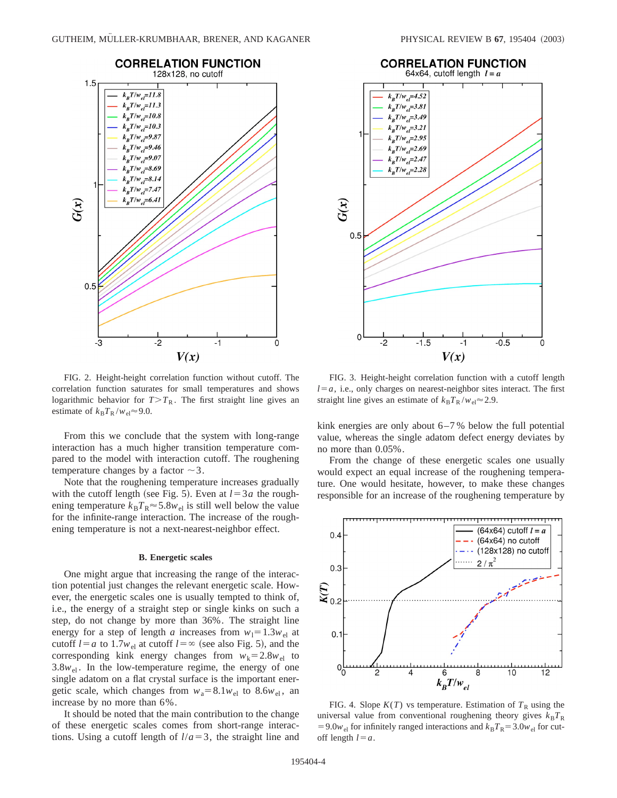

FIG. 2. Height-height correlation function without cutoff. The correlation function saturates for small temperatures and shows logarithmic behavior for  $T>T_R$ . The first straight line gives an estimate of  $k_B T_R / w_{el} \approx 9.0$ .

From this we conclude that the system with long-range interaction has a much higher transition temperature compared to the model with interaction cutoff. The roughening temperature changes by a factor  $\sim$ 3.

Note that the roughening temperature increases gradually with the cutoff length (see Fig. 5). Even at  $l=3a$  the roughening temperature  $k_B T_R \approx 5.8 w_{el}$  is still well below the value for the infinite-range interaction. The increase of the roughening temperature is not a next-nearest-neighbor effect.

#### **B. Energetic scales**

One might argue that increasing the range of the interaction potential just changes the relevant energetic scale. However, the energetic scales one is usually tempted to think of, i.e., the energy of a straight step or single kinks on such a step, do not change by more than 36%. The straight line energy for a step of length *a* increases from  $w_1 = 1.3w_{el}$  at cutoff  $l = a$  to 1.7 $w_{el}$  at cutoff  $l = \infty$  (see also Fig. 5), and the corresponding kink energy changes from  $w_k = 2.8w_{el}$  to  $3.8w_{el}$ . In the low-temperature regime, the energy of one single adatom on a flat crystal surface is the important energetic scale, which changes from  $w_a = 8.1 w_{el}$  to 8.6 $w_{el}$ , an increase by no more than 6%.

It should be noted that the main contribution to the change of these energetic scales comes from short-range interactions. Using a cutoff length of  $l/a = 3$ , the straight line and



FIG. 3. Height-height correlation function with a cutoff length  $l=a$ , i.e., only charges on nearest-neighbor sites interact. The first straight line gives an estimate of  $k_B T_R / w_{el} \approx 2.9$ .

kink energies are only about 6–7 % below the full potential value, whereas the single adatom defect energy deviates by no more than 0.05%.

From the change of these energetic scales one usually would expect an equal increase of the roughening temperature. One would hesitate, however, to make these changes responsible for an increase of the roughening temperature by



FIG. 4. Slope  $K(T)$  vs temperature. Estimation of  $T_R$  using the universal value from conventional roughening theory gives  $k_B T_R$ =9.0 $w_{el}$  for infinitely ranged interactions and  $k_B T_R$ =3.0 $w_{el}$  for cutoff length  $l = a$ .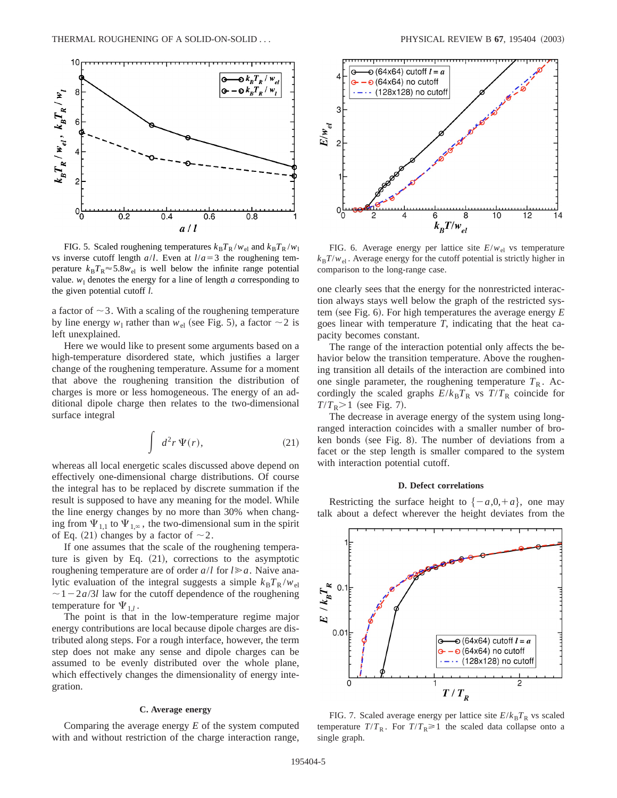

FIG. 5. Scaled roughening temperatures  $k_B T_R / w_{el}$  and  $k_B T_R / w_l$ vs inverse cutoff length  $a/l$ . Even at  $l/a = 3$  the roughening temperature  $k_B T_R \approx 5.8 w_{el}$  is well below the infinite range potential value.  $w_1$  denotes the energy for a line of length  $a$  corresponding to the given potential cutoff *l*.

a factor of  $\sim$  3. With a scaling of the roughening temperature by line energy  $w_1$  rather than  $w_{el}$  (see Fig. 5), a factor  $\sim$  2 is left unexplained.

Here we would like to present some arguments based on a high-temperature disordered state, which justifies a larger change of the roughening temperature. Assume for a moment that above the roughening transition the distribution of charges is more or less homogeneous. The energy of an additional dipole charge then relates to the two-dimensional surface integral

$$
\int d^2r \, \Psi(r),\tag{21}
$$

whereas all local energetic scales discussed above depend on effectively one-dimensional charge distributions. Of course the integral has to be replaced by discrete summation if the result is supposed to have any meaning for the model. While the line energy changes by no more than 30% when changing from  $\Psi_{1,1}$  to  $\Psi_{1,\infty}$ , the two-dimensional sum in the spirit of Eq. (21) changes by a factor of  $\sim$  2.

If one assumes that the scale of the roughening temperature is given by Eq.  $(21)$ , corrections to the asymptotic roughening temperature are of order  $a/l$  for  $l \ge a$ . Naive analytic evaluation of the integral suggests a simple  $k_B T_R / w_{el}$  $\sim$  1 – 2*a*/3*l* law for the cutoff dependence of the roughening temperature for  $\Psi_{1}$ .

The point is that in the low-temperature regime major energy contributions are local because dipole charges are distributed along steps. For a rough interface, however, the term step does not make any sense and dipole charges can be assumed to be evenly distributed over the whole plane, which effectively changes the dimensionality of energy integration.

### **C. Average energy**

Comparing the average energy *E* of the system computed with and without restriction of the charge interaction range,



FIG. 6. Average energy per lattice site  $E/w_{el}$  vs temperature  $k_B T/w_{el}$ . Average energy for the cutoff potential is strictly higher in comparison to the long-range case.

one clearly sees that the energy for the nonrestricted interaction always stays well below the graph of the restricted system (see Fig. 6). For high temperatures the average energy  $E$ goes linear with temperature *T*, indicating that the heat capacity becomes constant.

The range of the interaction potential only affects the behavior below the transition temperature. Above the roughening transition all details of the interaction are combined into one single parameter, the roughening temperature  $T<sub>R</sub>$ . Accordingly the scaled graphs  $E/k_B T_R$  vs  $T/T_R$  coincide for  $T/T_R$  $>$ 1 (see Fig. 7).

The decrease in average energy of the system using longranged interaction coincides with a smaller number of broken bonds (see Fig. 8). The number of deviations from a facet or the step length is smaller compared to the system with interaction potential cutoff.

### **D. Defect correlations**

Restricting the surface height to  $\{-a,0,+a\}$ , one may talk about a defect wherever the height deviates from the



FIG. 7. Scaled average energy per lattice site  $E/k_B T_R$  vs scaled temperature  $T/T_R$ . For  $T/T_R \ge 1$  the scaled data collapse onto a single graph.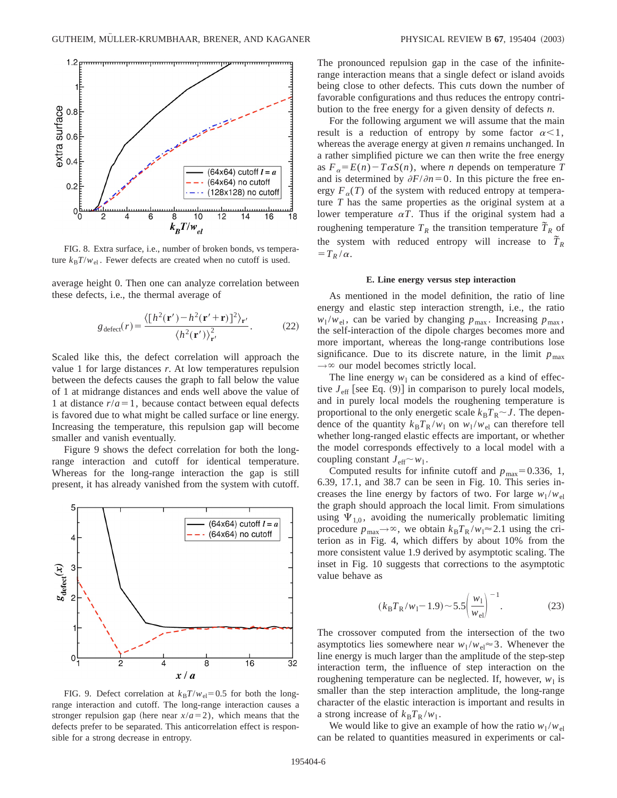

FIG. 8. Extra surface, i.e., number of broken bonds, vs temperature  $k_B T/w_{el}$ . Fewer defects are created when no cutoff is used.

average height 0. Then one can analyze correlation between these defects, i.e., the thermal average of

$$
g_{\text{defect}}(r) = \frac{\langle [h^2(\mathbf{r}') - h^2(\mathbf{r}' + \mathbf{r})]^2 \rangle_{\mathbf{r}'}}{\langle h^2(\mathbf{r}') \rangle_{\mathbf{r}'}^2}.
$$
 (22)

Scaled like this, the defect correlation will approach the value 1 for large distances *r*. At low temperatures repulsion between the defects causes the graph to fall below the value of 1 at midrange distances and ends well above the value of 1 at distance  $r/a = 1$ , because contact between equal defects is favored due to what might be called surface or line energy. Increasing the temperature, this repulsion gap will become smaller and vanish eventually.

Figure 9 shows the defect correlation for both the longrange interaction and cutoff for identical temperature. Whereas for the long-range interaction the gap is still present, it has already vanished from the system with cutoff.



FIG. 9. Defect correlation at  $k_B T/w_{el} = 0.5$  for both the longrange interaction and cutoff. The long-range interaction causes a stronger repulsion gap (here near  $x/a = 2$ ), which means that the defects prefer to be separated. This anticorrelation effect is responsible for a strong decrease in entropy.

The pronounced repulsion gap in the case of the infiniterange interaction means that a single defect or island avoids being close to other defects. This cuts down the number of favorable configurations and thus reduces the entropy contribution to the free energy for a given density of defects *n*.

For the following argument we will assume that the main result is a reduction of entropy by some factor  $\alpha < 1$ , whereas the average energy at given *n* remains unchanged. In a rather simplified picture we can then write the free energy as  $F_a = E(n) - T\alpha S(n)$ , where *n* depends on temperature *T* and is determined by  $\partial F/\partial n=0$ . In this picture the free energy  $F_{\alpha}(T)$  of the system with reduced entropy at temperature *T* has the same properties as the original system at a lower temperature  $\alpha T$ . Thus if the original system had a roughening temperature  $T_R$  the transition temperature  $\tilde{T}_R$  of the system with reduced entropy will increase to  $\tilde{T}_R$  $=T_R/\alpha$ .

#### **E. Line energy versus step interaction**

As mentioned in the model definition, the ratio of line energy and elastic step interaction strength, i.e., the ratio  $w_1/w_{el}$ , can be varied by changing  $p_{max}$ . Increasing  $p_{max}$ , the self-interaction of the dipole charges becomes more and more important, whereas the long-range contributions lose significance. Due to its discrete nature, in the limit  $p_{\text{max}}$  $\rightarrow \infty$  our model becomes strictly local.

The line energy  $w_1$  can be considered as a kind of effective  $J_{\text{eff}}$  [see Eq. (9)] in comparison to purely local models, and in purely local models the roughening temperature is proportional to the only energetic scale  $k_B T_R \sim J$ . The dependence of the quantity  $k_B T_R / w_1$  on  $w_1 / w_{el}$  can therefore tell whether long-ranged elastic effects are important, or whether the model corresponds effectively to a local model with a coupling constant  $J_{\text{eff}} \sim w_1$ .

Computed results for infinite cutoff and  $p_{\text{max}}=0.336, 1$ , 6.39, 17.1, and 38.7 can be seen in Fig. 10. This series increases the line energy by factors of two. For large  $w_1/w_{el}$ the graph should approach the local limit. From simulations using  $\Psi_{10}$ , avoiding the numerically problematic limiting procedure  $p_{\text{max}} \rightarrow \infty$ , we obtain  $k_{\text{B}}T_{\text{R}}/w_1 \approx 2.1$  using the criterion as in Fig. 4, which differs by about 10% from the more consistent value 1.9 derived by asymptotic scaling. The inset in Fig. 10 suggests that corrections to the asymptotic value behave as

$$
(k_{\rm B}T_{\rm R}/w_1 - 1.9) \sim 5.5 \left(\frac{w_1}{w_{\rm el}}\right)^{-1}.
$$
 (23)

The crossover computed from the intersection of the two asymptotics lies somewhere near  $w_1/w_{el} \approx 3$ . Whenever the line energy is much larger than the amplitude of the step-step interaction term, the influence of step interaction on the roughening temperature can be neglected. If, however,  $w_1$  is smaller than the step interaction amplitude, the long-range character of the elastic interaction is important and results in a strong increase of  $k_B T_R / w_1$ .

We would like to give an example of how the ratio  $w_1/w_{el}$ can be related to quantities measured in experiments or cal-